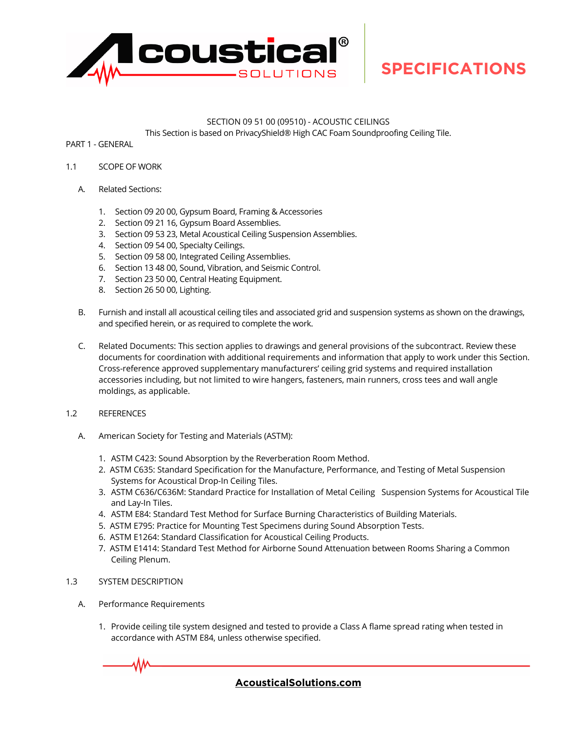

### SECTION 09 51 00 (09510) - ACOUSTIC CEILINGS

This Section is based on PrivacyShield® High CAC Foam Soundproofing Ceiling Tile.

PART 1 - GENERAL

- 1.1 SCOPE OF WORK
	- A. Related Sections:
		- 1. Section 09 20 00, Gypsum Board, Framing & Accessories
		- 2. Section 09 21 16, Gypsum Board Assemblies.
		- 3. Section 09 53 23, Metal Acoustical Ceiling Suspension Assemblies.
		- 4. Section 09 54 00, Specialty Ceilings.
		- 5. Section 09 58 00, Integrated Ceiling Assemblies.
		- 6. Section 13 48 00, Sound, Vibration, and Seismic Control.
		- 7. Section 23 50 00, Central Heating Equipment.
		- 8. Section 26 50 00, Lighting.
	- B. Furnish and install all acoustical ceiling tiles and associated grid and suspension systems as shown on the drawings, and specified herein, or as required to complete the work.
	- C. Related Documents: This section applies to drawings and general provisions of the subcontract. Review these documents for coordination with additional requirements and information that apply to work under this Section. Cross-reference approved supplementary manufacturers' ceiling grid systems and required installation accessories including, but not limited to wire hangers, fasteners, main runners, cross tees and wall angle moldings, as applicable.
- 1.2 REFERENCES
	- A. American Society for Testing and Materials (ASTM):
		- 1. ASTM C423: Sound Absorption by the Reverberation Room Method.
		- 2. ASTM C635: Standard Specification for the Manufacture, Performance, and Testing of Metal Suspension Systems for Acoustical Drop-In Ceiling Tiles.
		- 3. ASTM C636/C636M: Standard Practice for Installation of Metal Ceiling Suspension Systems for Acoustical Tile and Lay-In Tiles.
		- 4. ASTM E84: Standard Test Method for Surface Burning Characteristics of Building Materials.
		- 5. ASTM E795: Practice for Mounting Test Specimens during Sound Absorption Tests.
		- 6. ASTM E1264: Standard Classification for Acoustical Ceiling Products.
		- 7. ASTM E1414: Standard Test Method for Airborne Sound Attenuation between Rooms Sharing a Common Ceiling Plenum.
- 1.3 SYSTEM DESCRIPTION
	- A. Performance Requirements
		- 1. Provide ceiling tile system designed and tested to provide a Class A flame spread rating when tested in accordance with ASTM E84, unless otherwise specified.

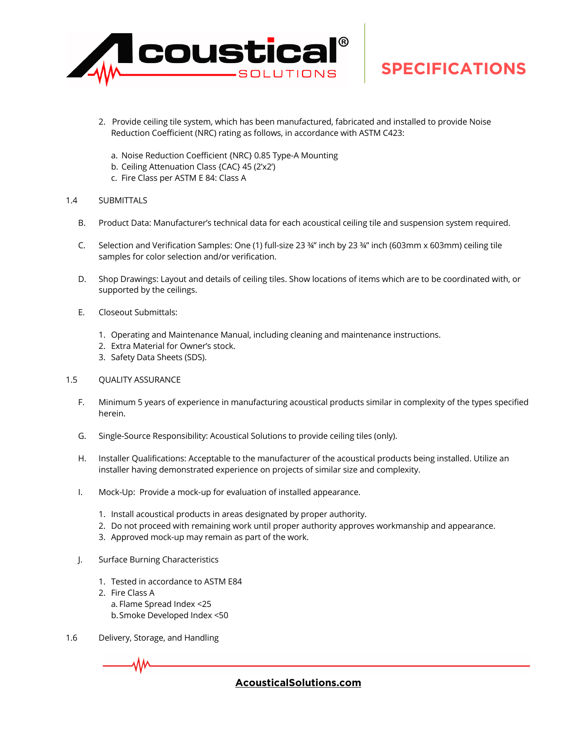

- 2. Provide ceiling tile system, which has been manufactured, fabricated and installed to provide Noise Reduction Coefficient (NRC) rating as follows, in accordance with ASTM C423:
	- a. Noise Reduction Coefficient {NRC} 0.85 Type-A Mounting
	- b. Ceiling Attenuation Class {CAC} 45 (2'x2')
	- c. Fire Class per ASTM E 84: Class A

### 1.4 SUBMITTALS

- B. Product Data: Manufacturer's technical data for each acoustical ceiling tile and suspension system required.
- C. Selection and Verification Samples: One (1) full-size 23 ¾" inch by 23 ¾" inch (603mm x 603mm) ceiling tile samples for color selection and/or verification.
- D. Shop Drawings: Layout and details of ceiling tiles. Show locations of items which are to be coordinated with, or supported by the ceilings.
- E. Closeout Submittals:
	- 1. Operating and Maintenance Manual, including cleaning and maintenance instructions.
	- 2. Extra Material for Owner's stock.
	- 3. Safety Data Sheets (SDS).

### 1.5 QUALITY ASSURANCE

- F. Minimum 5 years of experience in manufacturing acoustical products similar in complexity of the types specified herein.
- G. Single-Source Responsibility: Acoustical Solutions to provide ceiling tiles (only).
- H. Installer Qualifications: Acceptable to the manufacturer of the acoustical products being installed. Utilize an installer having demonstrated experience on projects of similar size and complexity.
- I. Mock-Up: Provide a mock-up for evaluation of installed appearance.
	- 1. Install acoustical products in areas designated by proper authority.
	- 2. Do not proceed with remaining work until proper authority approves workmanship and appearance.
	- 3. Approved mock-up may remain as part of the work.
- J. Surface Burning Characteristics
	- 1. Tested in accordance to ASTM E84
	- 2. Fire Class A
		- a. Flame Spread Index <25
		- b.Smoke Developed Index <50
- 1.6 Delivery, Storage, and Handling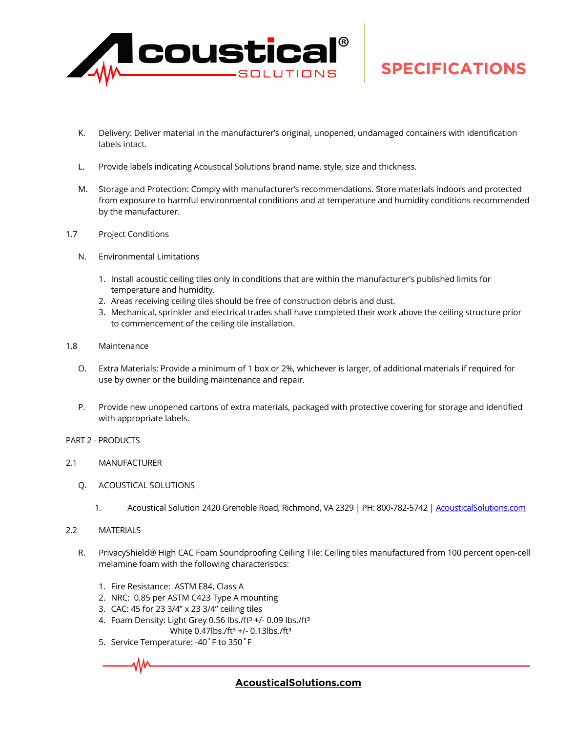

- K. Delivery: Deliver material in the manufacturer's original, unopened, undamaged containers with identification labels intact.
- L. Provide labels indicating Acoustical Solutions brand name, style, size and thickness.
- M. Storage and Protection: Comply with manufacturer's recommendations. Store materials indoors and protected from exposure to harmful environmental conditions and at temperature and humidity conditions recommended by the manufacturer.
- 1.7 Project Conditions
	- N. Environmental Limitations
		- 1. Install acoustic ceiling tiles only in conditions that are within the manufacturer's published limits for temperature and humidity.
		- 2. Areas receiving ceiling tiles should be free of construction debris and dust.
		- 3. Mechanical, sprinkler and electrical trades shall have completed their work above the ceiling structure prior to commencement of the ceiling tile installation.
- 1.8 Maintenance
	- O. Extra Materials: Provide a minimum of 1 box or 2%, whichever is larger, of additional materials if required for use by owner or the building maintenance and repair.
	- P. Provide new unopened cartons of extra materials, packaged with protective covering for storage and identified with appropriate labels.
- PART 2 PRODUCTS
- 2.1 MANUFACTURER
	- Q. ACOUSTICAL SOLUTIONS
		- 1. Acoustical Solution 2420 Grenoble Road, Richmond, VA 2329 | PH: 800-782-5742 | [AcousticalSolutions.com](https://acousticalsolution-my.sharepoint.com/personal/rlarkin_acousticalsolutions_com/Documents/Product/1-Techlite-Foam/Linear Foam/Z-Collateral/AcousticalSolutions.com)
- 2.2 MATERIALS
	- R. PrivacyShield® High CAC Foam Soundproofing Ceiling Tile: Ceiling tiles manufactured from 100 percent open-cell melamine foam with the following characteristics:
		- 1. Fire Resistance: ASTM E84, Class A
		- 2. NRC: 0.85 per ASTM C423 Type A mounting
		- 3. CAC: 45 for 23 3/4" x 23 3/4" ceiling tiles
		- 4. Foam Density: Light Grey 0.56 lbs./ft $3 +$ /-0.09 lbs./ft $3$ White 0.47lbs./ft<sup>3</sup> +/- 0.13lbs./ft<sup>3</sup>
		- 5. Service Temperature: -40˚F to 350˚F